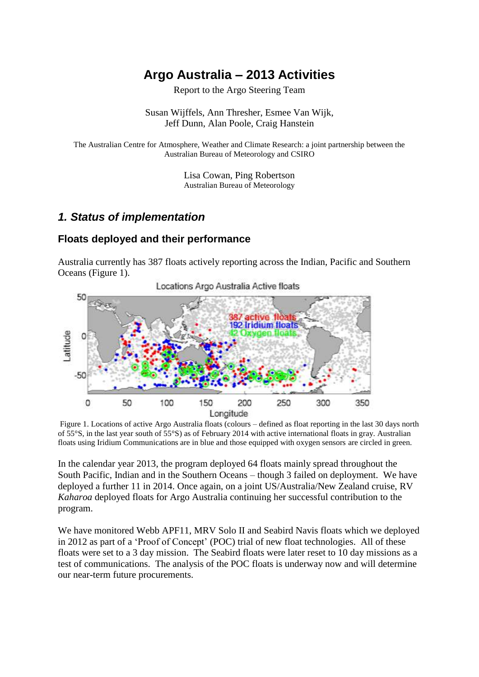# **Argo Australia – 2013 Activities**

Report to the Argo Steering Team

Susan Wijffels, Ann Thresher, Esmee Van Wijk, Jeff Dunn, Alan Poole, Craig Hanstein

The Australian Centre for Atmosphere, Weather and Climate Research: a joint partnership between the Australian Bureau of Meteorology and CSIRO

> Lisa Cowan, Ping Robertson Australian Bureau of Meteorology

### *1. Status of implementation*

#### **Floats deployed and their performance**

Australia currently has 387 floats actively reporting across the Indian, Pacific and Southern Oceans (Figure 1).



Figure 1. Locations of active Argo Australia floats (colours – defined as float reporting in the last 30 days north of 55°S, in the last year south of 55°S) as of February 2014 with active international floats in gray. Australian floats using Iridium Communications are in blue and those equipped with oxygen sensors are circled in green.

In the calendar year 2013, the program deployed 64 floats mainly spread throughout the South Pacific, Indian and in the Southern Oceans – though 3 failed on deployment. We have deployed a further 11 in 2014. Once again, on a joint US/Australia/New Zealand cruise, RV *Kaharoa* deployed floats for Argo Australia continuing her successful contribution to the program.

We have monitored Webb APF11, MRV Solo II and Seabird Navis floats which we deployed in 2012 as part of a 'Proof of Concept' (POC) trial of new float technologies. All of these floats were set to a 3 day mission. The Seabird floats were later reset to 10 day missions as a test of communications. The analysis of the POC floats is underway now and will determine our near-term future procurements.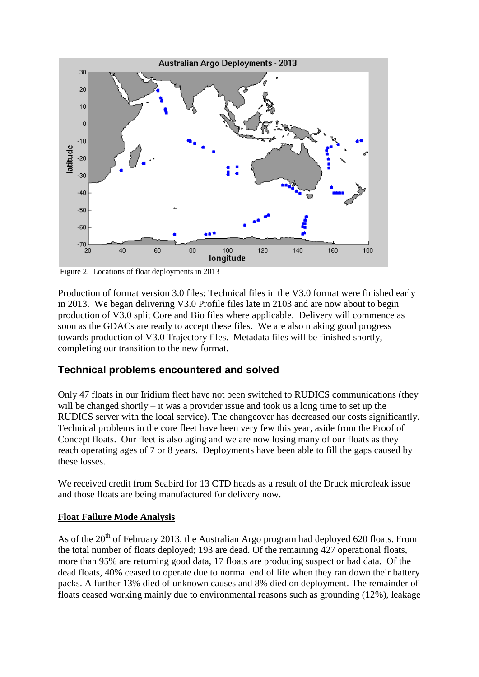

Figure 2. Locations of float deployments in 2013

Production of format version 3.0 files: Technical files in the V3.0 format were finished early in 2013. We began delivering V3.0 Profile files late in 2103 and are now about to begin production of V3.0 split Core and Bio files where applicable. Delivery will commence as soon as the GDACs are ready to accept these files. We are also making good progress towards production of V3.0 Trajectory files. Metadata files will be finished shortly, completing our transition to the new format.

### **Technical problems encountered and solved**

Only 47 floats in our Iridium fleet have not been switched to RUDICS communications (they will be changed shortly – it was a provider issue and took us a long time to set up the RUDICS server with the local service). The changeover has decreased our costs significantly. Technical problems in the core fleet have been very few this year, aside from the Proof of Concept floats. Our fleet is also aging and we are now losing many of our floats as they reach operating ages of 7 or 8 years. Deployments have been able to fill the gaps caused by these losses.

We received credit from Seabird for 13 CTD heads as a result of the Druck microleak issue and those floats are being manufactured for delivery now.

#### **Float Failure Mode Analysis**

As of the  $20<sup>th</sup>$  of February 2013, the Australian Argo program had deployed 620 floats. From the total number of floats deployed; 193 are dead. Of the remaining 427 operational floats, more than 95% are returning good data, 17 floats are producing suspect or bad data. Of the dead floats, 40% ceased to operate due to normal end of life when they ran down their battery packs. A further 13% died of unknown causes and 8% died on deployment. The remainder of floats ceased working mainly due to environmental reasons such as grounding (12%), leakage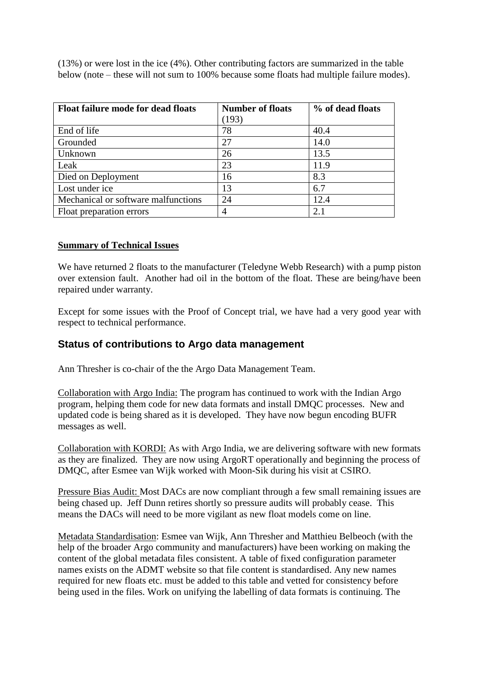(13%) or were lost in the ice (4%). Other contributing factors are summarized in the table below (note – these will not sum to 100% because some floats had multiple failure modes).

| <b>Float failure mode for dead floats</b> | <b>Number of floats</b> | % of dead floats |
|-------------------------------------------|-------------------------|------------------|
|                                           | (193)                   |                  |
| End of life                               | 78                      | 40.4             |
| Grounded                                  | 27                      | 14.0             |
| Unknown                                   | 26                      | 13.5             |
| Leak                                      | 23                      | 11.9             |
| Died on Deployment                        | 16                      | 8.3              |
| Lost under ice                            | 13                      | 6.7              |
| Mechanical or software malfunctions       | 24                      | 12.4             |
| Float preparation errors                  |                         | 2.1              |

#### **Summary of Technical Issues**

We have returned 2 floats to the manufacturer (Teledyne Webb Research) with a pump piston over extension fault. Another had oil in the bottom of the float. These are being/have been repaired under warranty.

Except for some issues with the Proof of Concept trial, we have had a very good year with respect to technical performance.

#### **Status of contributions to Argo data management**

Ann Thresher is co-chair of the the Argo Data Management Team.

Collaboration with Argo India: The program has continued to work with the Indian Argo program, helping them code for new data formats and install DMQC processes. New and updated code is being shared as it is developed. They have now begun encoding BUFR messages as well.

Collaboration with KORDI: As with Argo India, we are delivering software with new formats as they are finalized. They are now using ArgoRT operationally and beginning the process of DMQC, after Esmee van Wijk worked with Moon-Sik during his visit at CSIRO.

Pressure Bias Audit: Most DACs are now compliant through a few small remaining issues are being chased up. Jeff Dunn retires shortly so pressure audits will probably cease. This means the DACs will need to be more vigilant as new float models come on line.

Metadata Standardisation: Esmee van Wijk, Ann Thresher and Matthieu Belbeoch (with the help of the broader Argo community and manufacturers) have been working on making the content of the global metadata files consistent. A table of fixed configuration parameter names exists on the ADMT website so that file content is standardised. Any new names required for new floats etc. must be added to this table and vetted for consistency before being used in the files. Work on unifying the labelling of data formats is continuing. The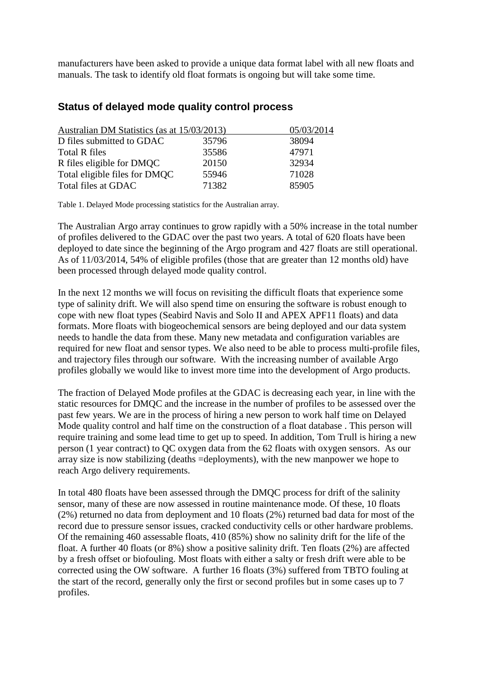manufacturers have been asked to provide a unique data format label with all new floats and manuals. The task to identify old float formats is ongoing but will take some time.

#### **Status of delayed mode quality control process**

| Australian DM Statistics (as at 15/03/2013) |       |
|---------------------------------------------|-------|
| 35796                                       | 38094 |
| 35586                                       | 47971 |
| 20150                                       | 32934 |
| 55946                                       | 71028 |
| 71382                                       | 85905 |
|                                             |       |

Table 1. Delayed Mode processing statistics for the Australian array.

The Australian Argo array continues to grow rapidly with a 50% increase in the total number of profiles delivered to the GDAC over the past two years. A total of 620 floats have been deployed to date since the beginning of the Argo program and 427 floats are still operational. As of 11/03/2014, 54% of eligible profiles (those that are greater than 12 months old) have been processed through delayed mode quality control.

In the next 12 months we will focus on revisiting the difficult floats that experience some type of salinity drift. We will also spend time on ensuring the software is robust enough to cope with new float types (Seabird Navis and Solo II and APEX APF11 floats) and data formats. More floats with biogeochemical sensors are being deployed and our data system needs to handle the data from these. Many new metadata and configuration variables are required for new float and sensor types. We also need to be able to process multi-profile files, and trajectory files through our software. With the increasing number of available Argo profiles globally we would like to invest more time into the development of Argo products.

The fraction of Delayed Mode profiles at the GDAC is decreasing each year, in line with the static resources for DMQC and the increase in the number of profiles to be assessed over the past few years. We are in the process of hiring a new person to work half time on Delayed Mode quality control and half time on the construction of a float database . This person will require training and some lead time to get up to speed. In addition, Tom Trull is hiring a new person (1 year contract) to QC oxygen data from the 62 floats with oxygen sensors. As our array size is now stabilizing (deaths =deployments), with the new manpower we hope to reach Argo delivery requirements.

In total 480 floats have been assessed through the DMQC process for drift of the salinity sensor, many of these are now assessed in routine maintenance mode. Of these, 10 floats (2%) returned no data from deployment and 10 floats (2%) returned bad data for most of the record due to pressure sensor issues, cracked conductivity cells or other hardware problems. Of the remaining 460 assessable floats, 410 (85%) show no salinity drift for the life of the float. A further 40 floats (or 8%) show a positive salinity drift. Ten floats (2%) are affected by a fresh offset or biofouling. Most floats with either a salty or fresh drift were able to be corrected using the OW software. A further 16 floats (3%) suffered from TBTO fouling at the start of the record, generally only the first or second profiles but in some cases up to 7 profiles.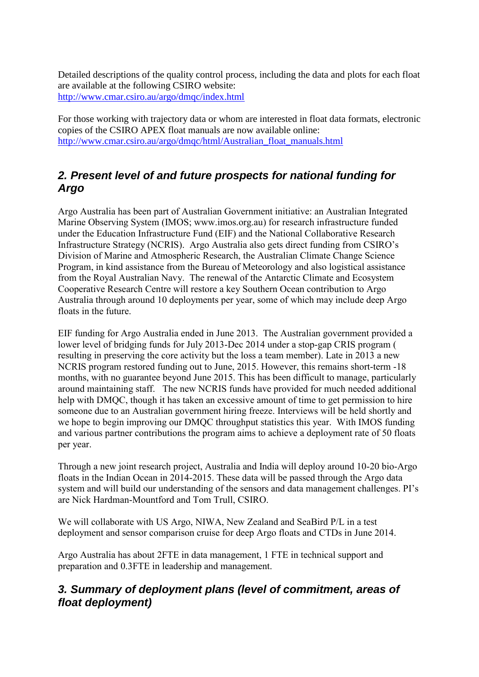Detailed descriptions of the quality control process, including the data and plots for each float are available at the following CSIRO website: <http://www.cmar.csiro.au/argo/dmqc/index.html>

For those working with trajectory data or whom are interested in float data formats, electronic copies of the CSIRO APEX float manuals are now available online: [http://www.cmar.csiro.au/argo/dmqc/html/Australian\\_float\\_manuals.html](http://www.cmar.csiro.au/argo/dmqc/html/Australian_float_manuals.html)

## *2. Present level of and future prospects for national funding for Argo*

Argo Australia has been part of Australian Government initiative: an Australian Integrated Marine Observing System (IMOS; www.imos.org.au) for research infrastructure funded under the Education Infrastructure Fund (EIF) and the National Collaborative Research Infrastructure Strategy (NCRIS). Argo Australia also gets direct funding from CSIRO's Division of Marine and Atmospheric Research, the Australian Climate Change Science Program, in kind assistance from the Bureau of Meteorology and also logistical assistance from the Royal Australian Navy. The renewal of the Antarctic Climate and Ecosystem Cooperative Research Centre will restore a key Southern Ocean contribution to Argo Australia through around 10 deployments per year, some of which may include deep Argo floats in the future.

EIF funding for Argo Australia ended in June 2013. The Australian government provided a lower level of bridging funds for July 2013-Dec 2014 under a stop-gap CRIS program ( resulting in preserving the core activity but the loss a team member). Late in 2013 a new NCRIS program restored funding out to June, 2015. However, this remains short-term -18 months, with no guarantee beyond June 2015. This has been difficult to manage, particularly around maintaining staff. The new NCRIS funds have provided for much needed additional help with DMQC, though it has taken an excessive amount of time to get permission to hire someone due to an Australian government hiring freeze. Interviews will be held shortly and we hope to begin improving our DMQC throughput statistics this year. With IMOS funding and various partner contributions the program aims to achieve a deployment rate of 50 floats per year.

Through a new joint research project, Australia and India will deploy around 10-20 bio-Argo floats in the Indian Ocean in 2014-2015. These data will be passed through the Argo data system and will build our understanding of the sensors and data management challenges. PI's are Nick Hardman-Mountford and Tom Trull, CSIRO.

We will collaborate with US Argo, NIWA, New Zealand and SeaBird P/L in a test deployment and sensor comparison cruise for deep Argo floats and CTDs in June 2014.

Argo Australia has about 2FTE in data management, 1 FTE in technical support and preparation and 0.3FTE in leadership and management.

## *3. Summary of deployment plans (level of commitment, areas of float deployment)*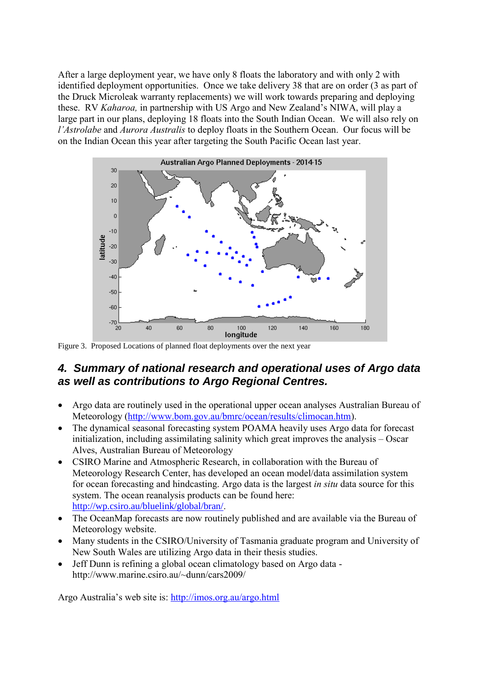After a large deployment year, we have only 8 floats the laboratory and with only 2 with identified deployment opportunities. Once we take delivery 38 that are on order (3 as part of the Druck Microleak warranty replacements) we will work towards preparing and deploying these. RV *Kaharoa,* in partnership with US Argo and New Zealand's NIWA, will play a large part in our plans, deploying 18 floats into the South Indian Ocean. We will also rely on *l'Astrolabe* and *Aurora Australis* to deploy floats in the Southern Ocean. Our focus will be on the Indian Ocean this year after targeting the South Pacific Ocean last year.



Figure 3. Proposed Locations of planned float deployments over the next year

### *4. Summary of national research and operational uses of Argo data as well as contributions to Argo Regional Centres.*

- Argo data are routinely used in the operational upper ocean analyses Australian Bureau of Meteorology [\(http://www.bom.gov.au/bmrc/ocean/results/climocan.htm\)](http://www.bom.gov.au/bmrc/ocean/results/climocan.htm).
- The dynamical seasonal forecasting system POAMA heavily uses Argo data for forecast initialization, including assimilating salinity which great improves the analysis – Oscar Alves, Australian Bureau of Meteorology
- CSIRO Marine and Atmospheric Research, in collaboration with the Bureau of Meteorology Research Center, has developed an ocean model/data assimilation system for ocean forecasting and hindcasting. Argo data is the largest *in situ* data source for this system. The ocean reanalysis products can be found here: <http://wp.csiro.au/bluelink/global/bran/>.
- The OceanMap forecasts are now routinely published and are available via the Bureau of Meteorology website.
- Many students in the CSIRO/University of Tasmania graduate program and University of New South Wales are utilizing Argo data in their thesis studies.
- Jeff Dunn is refining a global ocean climatology based on Argo data http://www.marine.csiro.au/~dunn/cars2009/

Argo Australia's web site is: <http://imos.org.au/argo.html>